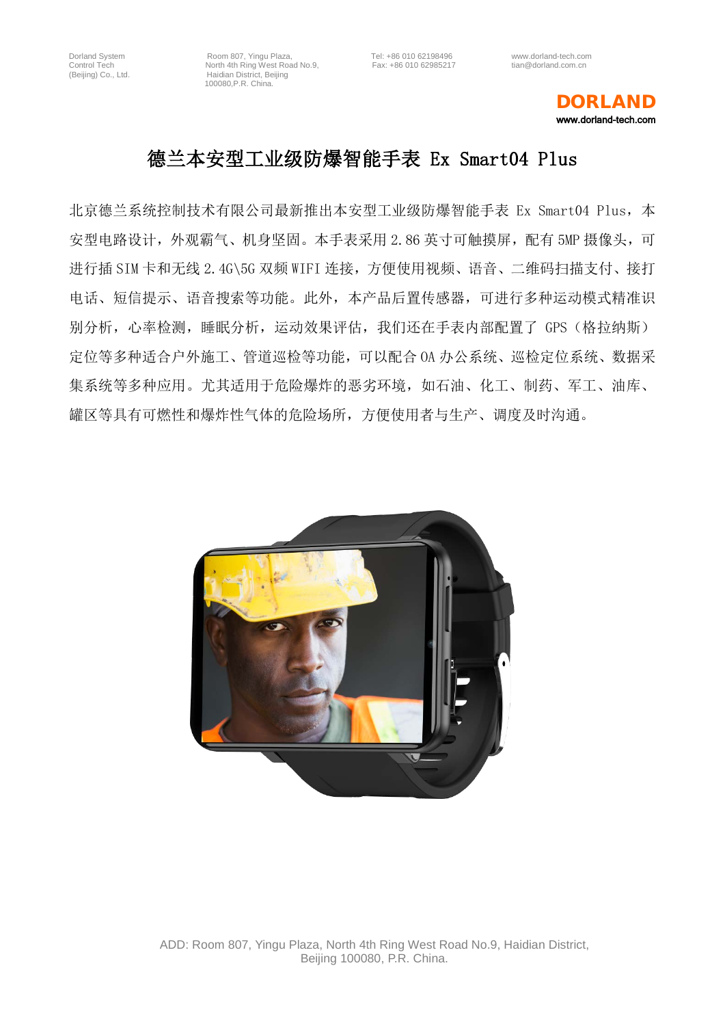### DORLAND www.dorland-tech.com

# 德兰本安型工业级防爆智能手表 Ex Smart04 Plus

北京德兰系统控制技术有限公司最新推出本安型工业级防爆智能手表 Ex Smart04 Plus, 本 安型电路设计, 外观霸气、机身坚固。本手表采用 2.86 英寸可触摸屏, 配有 5MP 摄像头, 可 进行插 SIM 卡和无线 2.4G\5G 双频 WIFI 连接, 方便使用视频、语音、二维码扫描支付、接打 电话、短信提示、语音搜索等功能。此外,本产品后置传感器,可进行多种运动模式精准识 别分析,心率检测,睡眠分析,运动效果评估,我们还在手表内部配置了 GPS (格拉纳斯) 定位等多种适合户外施工、管道巡检等功能,可以配合 OA 办公系统、巡检定位系统、数据采 集系统等多种应用。尤其适用于危险爆炸的恶劣环境,如石油、化工、制药、军工、油库、 罐区等具有可燃性和爆炸性气体的危险场所,方便使用者与生产、调度及时沟通。

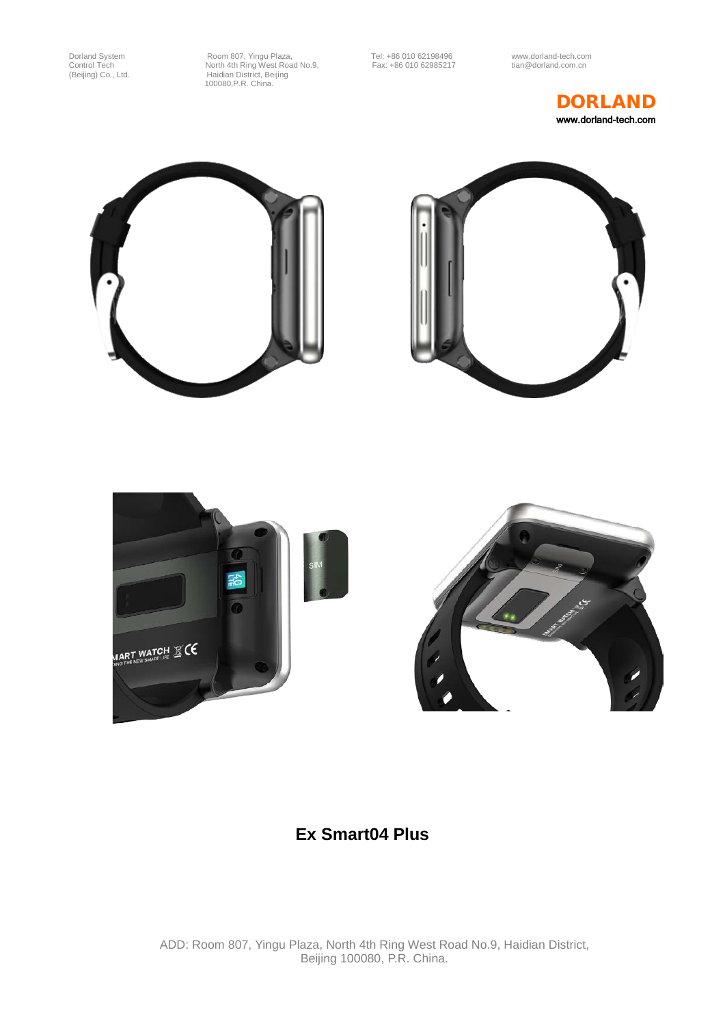









## **Ex Smart04 Plus**

ADD: Room 807, Yingu Plaza, North 4th Ring West Road No.9, Haidian District, Beijing 100080, P.R. China.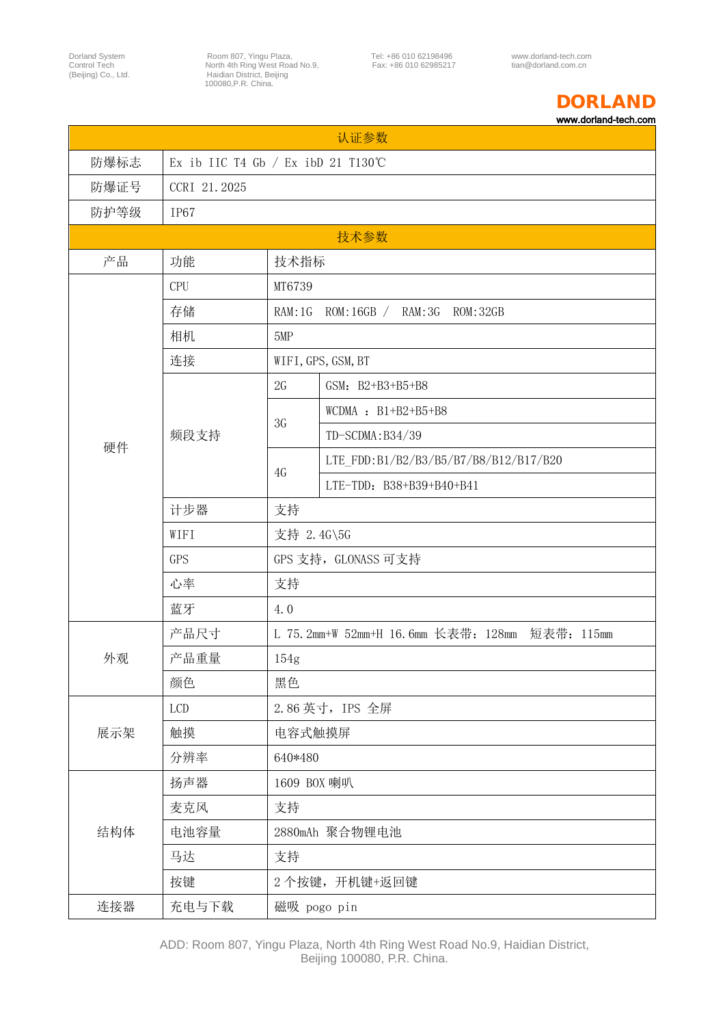### DORLAND www.dorland-tech.com

| 认证参数 |                                      |                                                |                                       |  |  |
|------|--------------------------------------|------------------------------------------------|---------------------------------------|--|--|
| 防爆标志 | Ex ib IIC T4 Gb $/$ Ex ibD 21 T130°C |                                                |                                       |  |  |
| 防爆证号 | CCRI 21.2025                         |                                                |                                       |  |  |
| 防护等级 | <b>IP67</b>                          |                                                |                                       |  |  |
| 技术参数 |                                      |                                                |                                       |  |  |
| 产品   | 功能                                   | 技术指标                                           |                                       |  |  |
|      | CPU                                  | MT6739                                         |                                       |  |  |
|      | 存储                                   | RAM: 1G                                        | ROM: 16GB / RAM: 3G ROM: 32GB         |  |  |
|      | 相机                                   | 5MP                                            |                                       |  |  |
|      | 连接                                   |                                                | WIFI, GPS, GSM, BT                    |  |  |
|      | 频段支持                                 | 2G                                             | GSM: B2+B3+B5+B8                      |  |  |
|      |                                      | 3G                                             | WCDMA : $B1+B2+B5+B8$                 |  |  |
| 硬件   |                                      |                                                | TD-SCDMA:B34/39                       |  |  |
|      |                                      | 4G                                             | LTE FDD:B1/B2/B3/B5/B7/B8/B12/B17/B20 |  |  |
|      |                                      |                                                | LTE-TDD: B38+B39+B40+B41              |  |  |
|      | 计步器                                  | 支持                                             |                                       |  |  |
|      | WIFI                                 | 支持 2.4G\5G                                     |                                       |  |  |
|      | <b>GPS</b>                           | GPS 支持, GLONASS 可支持                            |                                       |  |  |
|      | 心率                                   | 支持                                             |                                       |  |  |
|      | 蓝牙                                   | 4.0                                            |                                       |  |  |
|      | 产品尺寸                                 | L 75.2mm+W 52mm+H 16.6mm 长表带: 128mm 短表带: 115mm |                                       |  |  |
| 外观   | 产品重量                                 | 154g                                           |                                       |  |  |
|      | 颜色                                   | 黑色                                             |                                       |  |  |
| 展示架  | LCD                                  | 2.86 英寸, IPS 全屏                                |                                       |  |  |
|      | 触摸                                   | 电容式触摸屏                                         |                                       |  |  |
|      | 分辨率                                  | 640*480                                        |                                       |  |  |
|      | 扬声器                                  | 1609 BOX 喇叭                                    |                                       |  |  |
| 结构体  | 麦克风                                  | 支持                                             |                                       |  |  |
|      | 电池容量                                 | 2880mAh 聚合物锂电池                                 |                                       |  |  |
|      | 马达                                   | 支持                                             |                                       |  |  |
|      | 按键                                   |                                                | 2个按键, 开机键+返回键                         |  |  |
| 连接器  | 充电与下载                                | 磁吸 pogo pin                                    |                                       |  |  |

ADD: Room 807, Yingu Plaza, North 4th Ring West Road No.9, Haidian District, Beijing 100080, P.R. China.